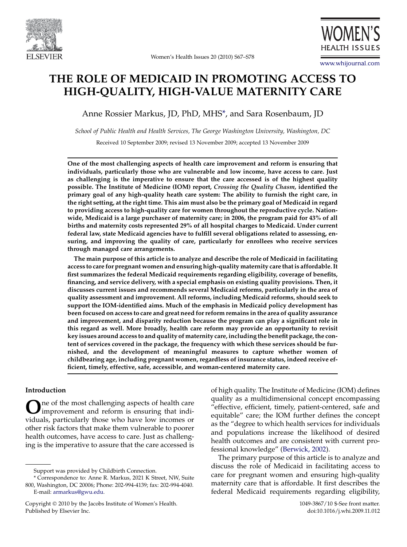



# THE ROLE OF MEDICAID IN PROMOTING ACCESS TO HIGH-QUALITY, HIGH-VALUE MATERNITY CARE

Anne Rossier Markus, JD, PhD, MHS\*, and Sara Rosenbaum, JD

School of Public Health and Health Services, The George Washington University, Washington, DC

Received 10 September 2009; revised 13 November 2009; accepted 13 November 2009

One of the most challenging aspects of health care improvement and reform is ensuring that individuals, particularly those who are vulnerable and low income, have access to care. Just as challenging is the imperative to ensure that the care accessed is of the highest quality possible. The Institute of Medicine (IOM) report, Crossing the Quality Chasm, identified the primary goal of any high-quality heath care system: The ability to furnish the right care, in the right setting, at the right time. This aim must also be the primary goal of Medicaid in regard to providing access to high-quality care for women throughout the reproductive cycle. Nationwide, Medicaid is a large purchaser of maternity care; in 2006, the program paid for 43% of all births and maternity costs represented 29% of all hospital charges to Medicaid. Under current federal law, state Medicaid agencies have to fulfill several obligations related to assessing, ensuring, and improving the quality of care, particularly for enrollees who receive services through managed care arrangements.

The main purpose of this article is to analyze and describe the role of Medicaid in facilitating access to care for pregnant women and ensuring high-quality maternity care that is affordable. It first summarizes the federal Medicaid requirements regarding eligibility, coverage of benefits, financing, and service delivery, with a special emphasis on existing quality provisions. Then, it discusses current issues and recommends several Medicaid reforms, particularly in the area of quality assessment and improvement. All reforms, including Medicaid reforms, should seek to support the IOM-identified aims. Much of the emphasis in Medicaid policy development has been focused on access to care and great need for reform remains in the area of quality assurance and improvement, and disparity reduction because the program can play a significant role in this regard as well. More broadly, health care reform may provide an opportunity to revisit key issues around access to and quality of maternity care, including the benefit package, the content of services covered in the package, the frequency with which these services should be furnished, and the development of meaningful measures to capture whether women of childbearing age, including pregnant women, regardless of insurance status, indeed receive efficient, timely, effective, safe, accessible, and woman-centered maternity care.

## Introduction

One of the most challenging aspects of health care<br>improvement and reform is ensuring that individuals, particularly those who have low incomes or other risk factors that make them vulnerable to poorer health outcomes, have access to care. Just as challenging is the imperative to assure that the care accessed is

of high quality. The Institute of Medicine (IOM) defines quality as a multidimensional concept encompassing ''effective, efficient, timely, patient-centered, safe and equitable'' care; the IOM further defines the concept as the ''degree to which health services for individuals and populations increase the likelihood of desired health outcomes and are consistent with current professional knowledge'' [\(Berwick, 2002\)](#page-11-0).

The primary purpose of this article is to analyze and discuss the role of Medicaid in facilitating access to care for pregnant women and ensuring high-quality maternity care that is affordable. It first describes the federal Medicaid requirements regarding eligibility,

Support was provided by Childbirth Connection.

<sup>\*</sup> Correspondence to: Anne R. Markus, 2021 K Street, NW, Suite 800, Washington, DC 20006; Phone: 202-994-4139; fax: 202-994-4040. E-mail: [armarkus@gwu.edu](mailto:armarkus@gwu.edu).

Copyright © 2010 by the Jacobs Institute of Women's Health. 1049-3867/10 \$-See front matter. Published by Elsevier Inc. **Example 2018** 2009.11.012 and the doi:10.1016/j.whi.2009.11.012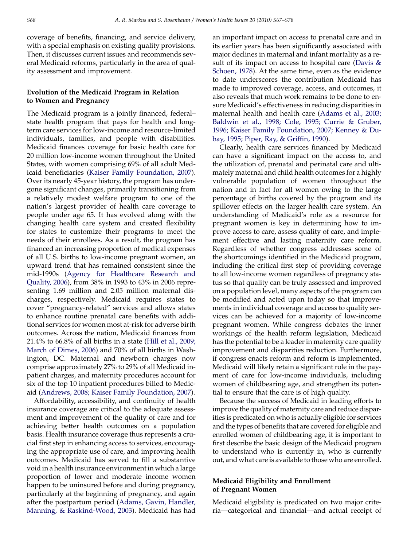coverage of benefits, financing, and service delivery, with a special emphasis on existing quality provisions. Then, it discusses current issues and recommends several Medicaid reforms, particularly in the area of quality assessment and improvement.

## Evolution of the Medicaid Program in Relation to Women and Pregnancy

The Medicaid program is a jointly financed, federal– state health program that pays for health and longterm care services for low-income and resource-limited individuals, families, and people with disabilities. Medicaid finances coverage for basic health care for 20 million low-income women throughout the United States, with women comprising 69% of all adult Medicaid beneficiaries [\(Kaiser Family Foundation, 2007](#page-11-0)). Over its nearly 45-year history, the program has undergone significant changes, primarily transitioning from a relatively modest welfare program to one of the nation's largest provider of health care coverage to people under age 65. It has evolved along with the changing health care system and created flexibility for states to customize their programs to meet the needs of their enrollees. As a result, the program has financed an increasing proportion of medical expenses of all U.S. births to low-income pregnant women, an upward trend that has remained consistent since the mid-1990s ([Agency for Healthcare Research and](#page-10-0) [Quality, 2006\)](#page-10-0), from 38% in 1993 to 43% in 2006 representing 1.69 million and 2.05 million maternal discharges, respectively. Medicaid requires states to cover ''pregnancy-related'' services and allows states to enhance routine prenatal care benefits with additional services for women most at-risk for adverse birth outcomes. Across the nation, Medicaid finances from 21.4% to 66.8% of all births in a state ([Hill et al., 2009;](#page-11-0) [March of Dimes, 2006](#page-11-0)) and 70% of all births in Washington, DC. Maternal and newborn charges now comprise approximately 27% to 29% of all Medicaid inpatient charges, and maternity procedures account for six of the top 10 inpatient procedures billed to Medicaid [\(Andrews, 2008; Kaiser Family Foundation, 2007\)](#page-11-0).

Affordability, accessibility, and continuity of health insurance coverage are critical to the adequate assessment and improvement of the quality of care and for achieving better health outcomes on a population basis. Health insurance coverage thus represents a crucial first step in enhancing access to services, encouraging the appropriate use of care, and improving health outcomes. Medicaid has served to fill a substantive void in a health insurance environment in which a large proportion of lower and moderate income women happen to be uninsured before and during pregnancy, particularly at the beginning of pregnancy, and again after the postpartum period ([Adams, Gavin, Handler,](#page-10-0) [Manning, & Raskind-Wood, 2003](#page-10-0)). Medicaid has had

an important impact on access to prenatal care and in its earlier years has been significantly associated with major declines in maternal and infant mortality as a result of its impact on access to hospital care (Davis  $\&$ [Schoen, 1978\)](#page-11-0). At the same time, even as the evidence to date underscores the contribution Medicaid has made to improved coverage, access, and outcomes, it also reveals that much work remains to be done to ensure Medicaid's effectiveness in reducing disparities in maternal health and health care [\(Adams et al., 2003;](#page-10-0) [Baldwin et al., 1998; Cole, 1995; Currie & Gruber,](#page-10-0) [1996; Kaiser Family Foundation, 2007; Kenney & Du](#page-10-0)[bay, 1995; Piper, Ray, & Griffin, 1990\)](#page-10-0).

Clearly, health care services financed by Medicaid can have a significant impact on the access to, and the utilization of, prenatal and perinatal care and ultimately maternal and child health outcomes for a highly vulnerable population of women throughout the nation and in fact for all women owing to the large percentage of births covered by the program and its spillover effects on the larger health care system. An understanding of Medicaid's role as a resource for pregnant women is key in determining how to improve access to care, assess quality of care, and implement effective and lasting maternity care reform. Regardless of whether congress addresses some of the shortcomings identified in the Medicaid program, including the critical first step of providing coverage to all low-income women regardless of pregnancy status so that quality can be truly assessed and improved on a population level, many aspects of the program can be modified and acted upon today so that improvements in individual coverage and access to quality services can be achieved for a majority of low-income pregnant women. While congress debates the inner workings of the health reform legislation, Medicaid has the potential to be a leader in maternity care quality improvement and disparities reduction. Furthermore, if congress enacts reform and reform is implemented, Medicaid will likely retain a significant role in the payment of care for low-income individuals, including women of childbearing age, and strengthen its potential to ensure that the care is of high quality.

Because the success of Medicaid in leading efforts to improve the quality of maternity care and reduce disparities is predicated on who is actually eligible for services and the types of benefits that are covered for eligible and enrolled women of childbearing age, it is important to first describe the basic design of the Medicaid program to understand who is currently in, who is currently out, and what care is available to those who are enrolled.

## Medicaid Eligibility and Enrollment of Pregnant Women

Medicaid eligibility is predicated on two major criteria—categorical and financial—and actual receipt of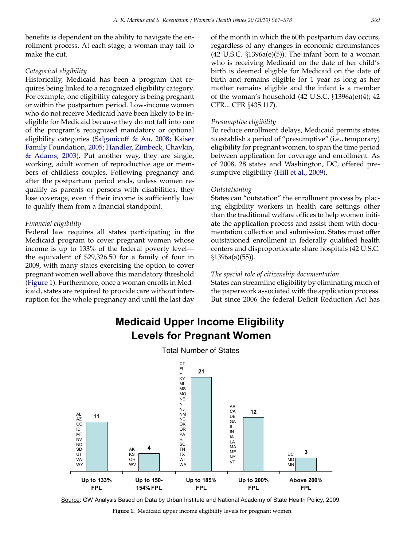benefits is dependent on the ability to navigate the enrollment process. At each stage, a woman may fail to make the cut.

## Categorical eligibility

Historically, Medicaid has been a program that requires being linked to a recognized eligibility category. For example, one eligibility category is being pregnant or within the postpartum period. Low-income women who do not receive Medicaid have been likely to be ineligible for Medicaid because they do not fall into one of the program's recognized mandatory or optional eligibility categories [\(Salganicoff & An, 2008; Kaiser](#page-11-0) [Family Foundation, 2005; Handler, Zimbeck, Chavkin,](#page-11-0) [& Adams, 2003](#page-11-0)). Put another way, they are single, working, adult women of reproductive age or members of childless couples. Following pregnancy and after the postpartum period ends, unless women requalify as parents or persons with disabilities, they lose coverage, even if their income is sufficiently low to qualify them from a financial standpoint.

### Financial eligibility

Federal law requires all states participating in the Medicaid program to cover pregnant women whose income is up to 133% of the federal poverty level the equivalent of \$29,326.50 for a family of four in 2009, with many states exercising the option to cover pregnant women well above this mandatory threshold (Figure 1). Furthermore, once a woman enrolls in Medicaid, states are required to provide care without interruption for the whole pregnancy and until the last day

of the month in which the 60th postpartum day occurs, regardless of any changes in economic circumstances  $(42 \text{ U.S.C. } §1396a(e)(5))$ . The infant born to a woman who is receiving Medicaid on the date of her child's birth is deemed eligible for Medicaid on the date of birth and remains eligible for 1 year as long as her mother remains eligible and the infant is a member of the woman's household  $(42 \text{ U.S.C. } §1396a(e)(4); 42)$ CFR... CFR §435.117).

### Presumptive eligibility

To reduce enrollment delays, Medicaid permits states to establish a period of ''presumptive'' (i.e., temporary) eligibility for pregnant women, to span the time period between application for coverage and enrollment. As of 2008, 28 states and Washington, DC, offered presumptive eligibility [\(Hill et al., 2009\)](#page-11-0).

#### Outstationing

States can ''outstation'' the enrollment process by placing eligibility workers in health care settings other than the traditional welfare offices to help women initiate the application process and assist them with documentation collection and submission. States must offer outstationed enrollment in federally qualified health centers and disproportionate share hospitals (42 U.S.C.  $\S 1396a(a)(55)$ ).

#### The special role of citizenship documentation

States can streamline eligibility by eliminating much of the paperwork associated with the application process. But since 2006 the federal Deficit Reduction Act has

# **Medicaid Upper Income Eligibility Levels for Pregnant Women**





Source: GW Analysis Based on Data by Urban Institute and National Academy of State Health Policy, 2009.

Figure 1. Medicaid upper income eligibility levels for pregnant women.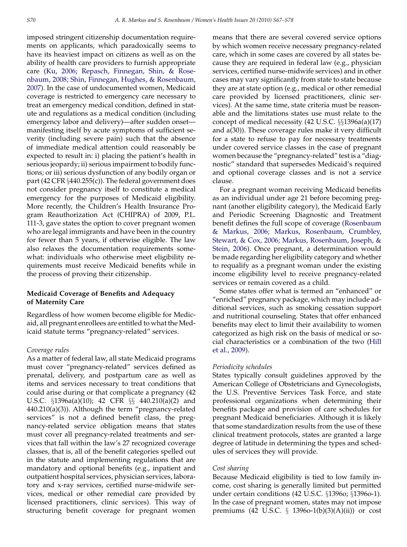imposed stringent citizenship documentation requirements on applicants, which paradoxically seems to have its heaviest impact on citizens as well as on the ability of health care providers to furnish appropriate care [\(Ku, 2006; Repasch, Finnegan, Shin, & Rose](#page-11-0)[nbaum, 2008; Shin, Finnegan, Hughes, & Rosenbaum,](#page-11-0) [2007\)](#page-11-0). In the case of undocumented women, Medicaid coverage is restricted to emergency care necessary to treat an emergency medical condition, defined in statute and regulations as a medical condition (including emergency labor and delivery)—after sudden onset manifesting itself by acute symptoms of sufficient severity (including severe pain) such that the absence of immediate medical attention could reasonably be expected to result in: i) placing the patient's health in serious jeopardy; ii) serious impairment to bodily functions; or iii) serious dysfunction of any bodily organ or part (42 CFR  $\S$ 440.255(c)). The federal government does not consider pregnancy itself to constitute a medical emergency for the purposes of Medicaid eligibility. More recently, the Children's Health Insurance Program Reauthorization Act (CHIPRA) of 2009, P.L. 111-3, gave states the option to cover pregnant women who are legal immigrants and have been in the country for fewer than 5 years, if otherwise eligible. The law also relaxes the documentation requirements somewhat: individuals who otherwise meet eligibility requirements must receive Medicaid benefits while in the process of proving their citizenship.

## Medicaid Coverage of Benefits and Adequacy of Maternity Care

Regardless of how women become eligible for Medicaid, all pregnant enrollees are entitled to what the Medicaid statute terms ''pregnancy-related'' services.

#### Coverage rules

As a matter of federal law, all state Medicaid programs must cover ''pregnancy-related'' services defined as prenatal, delivery, and postpartum care as well as items and services necessary to treat conditions that could arise during or that complicate a pregnancy (42 U.S.C.  $\S$ 1396a(a)(10); 42 CFR  $\S$  $\S$  440.210(a)(2) and 440.210(a)(3)). Although the term ''pregnancy-related services'' is not a defined benefit class, the pregnancy-related service obligation means that states must cover all pregnancy-related treatments and services that fall within the law's 27 recognized coverage classes, that is, all of the benefit categories spelled out in the statute and implementing regulations that are mandatory and optional benefits (e.g., inpatient and outpatient hospital services, physician services, laboratory and x-ray services, certified nurse-midwife services, medical or other remedial care provided by licensed practitioners, clinic services). This way of structuring benefit coverage for pregnant women means that there are several covered service options by which women receive necessary pregnancy-related care, which in some cases are covered by all states because they are required in federal law (e.g., physician services, certified nurse-midwife services) and in other cases may vary significantly from state to state because they are at state option (e.g., medical or other remedial care provided by licensed practitioners, clinic services). At the same time, state criteria must be reasonable and the limitations states use must relate to the concept of medical necessity  $(42 \text{ U.S.C. } \S_{3}^{6}1396a(a)(17))$ and a(30)). These coverage rules make it very difficult for a state to refuse to pay for necessary treatments under covered service classes in the case of pregnant women because the ''pregnancy-related'' test is a ''diagnostic'' standard that supersedes Medicaid's required and optional coverage classes and is not a service clause.

For a pregnant woman receiving Medicaid benefits as an individual under age 21 before becoming pregnant (another eligibility category), the Medicaid Early and Periodic Screening Diagnostic and Treatment benefit defines the full scope of coverage ([Rosenbaum](#page-11-0) [& Markus, 2006; Markus, Rosenbaum, Crumbley,](#page-11-0) [Stewart, & Cox, 2006; Markus, Rosenbaum, Joseph, &](#page-11-0) [Stein, 2006\)](#page-11-0). Once pregnant, a determination would be made regarding her eligibility category and whether to requalify as a pregnant woman under the existing income eligibility level to receive pregnancy-related services or remain covered as a child.

Some states offer what is termed an ''enhanced'' or ''enriched'' pregnancy package, which may include additional services, such as smoking cessation support and nutritional counseling. States that offer enhanced benefits may elect to limit their availability to women categorized as high risk on the basis of medical or social characteristics or a combination of the two [\(Hill](#page-11-0) [et al., 2009](#page-11-0)).

#### Periodicity schedules

States typically consult guidelines approved by the American College of Obstetricians and Gynecologists, the U.S. Preventive Services Task Force, and state professional organizations when determining their benefits package and provision of care schedules for pregnant Medicaid beneficiaries. Although it is likely that some standardization results from the use of these clinical treatment protocols, states are granted a large degree of latitude in determining the types and schedules of services they will provide.

#### Cost sharing

Because Medicaid eligibility is tied to low family income, cost sharing is generally limited but permitted under certain conditions (42 U.S.C.  $\S 1396$ o;  $\S 1396$ o-1). In the case of pregnant women, states may not impose premiums (42 U.S.C.  $\S$  1396o-1(b)(3)(A)(ii)) or cost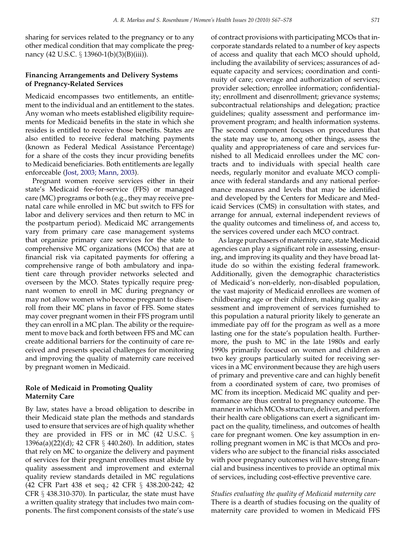sharing for services related to the pregnancy or to any other medical condition that may complicate the pregnancy (42 U.S.C.  $\S$  13960-1(b)(3)(B)(iii)).

## Financing Arrangements and Delivery Systems of Pregnancy-Related Services

Medicaid encompasses two entitlements, an entitlement to the individual and an entitlement to the states. Any woman who meets established eligibility requirements for Medicaid benefits in the state in which she resides is entitled to receive those benefits. States are also entitled to receive federal matching payments (known as Federal Medical Assistance Percentage) for a share of the costs they incur providing benefits to Medicaid beneficiaries. Both entitlements are legally enforceable ([Jost, 2003; Mann, 2003\)](#page-11-0).

Pregnant women receive services either in their state's Medicaid fee-for-service (FFS) or managed care (MC) programs or both (e.g., they may receive prenatal care while enrolled in MC but switch to FFS for labor and delivery services and then return to MC in the postpartum period). Medicaid MC arrangements vary from primary care case management systems that organize primary care services for the state to comprehensive MC organizations (MCOs) that are at financial risk via capitated payments for offering a comprehensive range of both ambulatory and inpatient care through provider networks selected and overseen by the MCO. States typically require pregnant women to enroll in MC during pregnancy or may not allow women who become pregnant to disenroll from their MC plans in favor of FFS. Some states may cover pregnant women in their FFS program until they can enroll in a MC plan. The ability or the requirement to move back and forth between FFS and MC can create additional barriers for the continuity of care received and presents special challenges for monitoring and improving the quality of maternity care received by pregnant women in Medicaid.

## Role of Medicaid in Promoting Quality Maternity Care

By law, states have a broad obligation to describe in their Medicaid state plan the methods and standards used to ensure that services are of high quality whether they are provided in FFS or in MC (42 U.S.C.  $\S$  $1396a(a)(22)(d)$ ; 42 CFR  $\S$  440.260). In addition, states that rely on MC to organize the delivery and payment of services for their pregnant enrollees must abide by quality assessment and improvement and external quality review standards detailed in MC regulations (42 CFR Part 438 et seq.; 42 CFR § 438.200-242; 42 CFR  $\S$  438.310-370). In particular, the state must have a written quality strategy that includes two main components. The first component consists of the state's use of contract provisions with participating MCOs that incorporate standards related to a number of key aspects of access and quality that each MCO should uphold, including the availability of services; assurances of adequate capacity and services; coordination and continuity of care; coverage and authorization of services; provider selection; enrollee information; confidentiality; enrollment and disenrollment; grievance systems; subcontractual relationships and delegation; practice guidelines; quality assessment and performance improvement program; and health information systems. The second component focuses on procedures that the state may use to, among other things, assess the quality and appropriateness of care and services furnished to all Medicaid enrollees under the MC contracts and to individuals with special health care needs, regularly monitor and evaluate MCO compliance with federal standards and any national performance measures and levels that may be identified and developed by the Centers for Medicare and Medicaid Services (CMS) in consultation with states, and arrange for annual, external independent reviews of the quality outcomes and timeliness of, and access to, the services covered under each MCO contract.

As large purchasers of maternity care, state Medicaid agencies can play a significant role in assessing, ensuring, and improving its quality and they have broad latitude do so within the existing federal framework. Additionally, given the demographic characteristics of Medicaid's non-elderly, non-disabled population, the vast majority of Medicaid enrollees are women of childbearing age or their children, making quality assessment and improvement of services furnished to this population a natural priority likely to generate an immediate pay off for the program as well as a more lasting one for the state's population health. Furthermore, the push to MC in the late 1980s and early 1990s primarily focused on women and children as two key groups particularly suited for receiving services in a MC environment because they are high users of primary and preventive care and can highly benefit from a coordinated system of care, two promises of MC from its inception. Medicaid MC quality and performance are thus central to pregnancy outcome. The manner in which MCOs structure, deliver, and perform their health care obligations can exert a significant impact on the quality, timeliness, and outcomes of health care for pregnant women. One key assumption in enrolling pregnant women in MC is that MCOs and providers who are subject to the financial risks associated with poor pregnancy outcomes will have strong financial and business incentives to provide an optimal mix of services, including cost-effective preventive care.

Studies evaluating the quality of Medicaid maternity care There is a dearth of studies focusing on the quality of maternity care provided to women in Medicaid FFS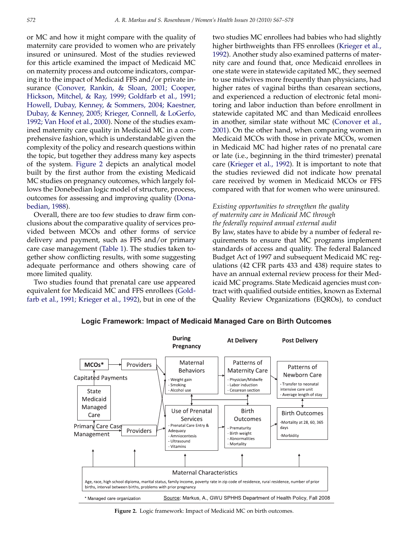or MC and how it might compare with the quality of maternity care provided to women who are privately insured or uninsured. Most of the studies reviewed for this article examined the impact of Medicaid MC on maternity process and outcome indicators, comparing it to the impact of Medicaid FFS and/or private insurance ([Conover, Rankin, & Sloan, 2001; Cooper,](#page-11-0) [Hickson, Mitchel, & Ray, 1999; Goldfarb et al., 1991;](#page-11-0) [Howell, Dubay, Kenney, & Sommers, 2004; Kaestner,](#page-11-0) [Dubay, & Kenney, 2005; Krieger, Connell, & LoGerfo,](#page-11-0) [1992; Van Hoof et al., 2000](#page-11-0)). None of the studies examined maternity care quality in Medicaid MC in a comprehensive fashion, which is understandable given the complexity of the policy and research questions within the topic, but together they address many key aspects of the system. Figure 2 depicts an analytical model built by the first author from the existing Medicaid MC studies on pregnancy outcomes, which largely follows the Donebedian logic model of structure, process, outcomes for assessing and improving quality ([Dona](#page-11-0)[bedian, 1988](#page-11-0)).

Overall, there are too few studies to draw firm conclusions about the comparative quality of services provided between MCOs and other forms of service delivery and payment, such as FFS and/or primary care case management [\(Table 1](#page-7-0)). The studies taken together show conflicting results, with some suggesting adequate performance and others showing care of more limited quality.

Two studies found that prenatal care use appeared equivalent for Medicaid MC and FFS enrollees ([Gold](#page-11-0)[farb et al., 1991; Krieger et al., 1992](#page-11-0)), but in one of the two studies MC enrollees had babies who had slightly higher birthweights than FFS enrollees [\(Krieger et al.,](#page-11-0) [1992\)](#page-11-0). Another study also examined patterns of maternity care and found that, once Medicaid enrollees in one state were in statewide capitated MC, they seemed to use midwives more frequently than physicians, had higher rates of vaginal births than cesarean sections, and experienced a reduction of electronic fetal monitoring and labor induction than before enrollment in statewide capitated MC and than Medicaid enrollees in another, similar state without MC ([Conover et al.,](#page-11-0) [2001\)](#page-11-0). On the other hand, when comparing women in Medicaid MCOs with those in private MCOs, women in Medicaid MC had higher rates of no prenatal care or late (i.e., beginning in the third trimester) prenatal care ([Krieger et al., 1992](#page-11-0)). It is important to note that the studies reviewed did not indicate how prenatal care received by women in Medicaid MCOs or FFS compared with that for women who were uninsured.

## Existing opportunities to strengthen the quality of maternity care in Medicaid MC through the federally required annual external audit

By law, states have to abide by a number of federal requirements to ensure that MC programs implement standards of access and quality. The federal Balanced Budget Act of 1997 and subsequent Medicaid MC regulations (42 CFR parts 433 and 438) require states to have an annual external review process for their Medicaid MC programs. State Medicaid agencies must contract with qualified outside entities, known as External Quality Review Organizations (EQROs), to conduct



Logic Framework: Impact of Medicaid Managed Care on Birth Outcomes

Figure 2. Logic framework: Impact of Medicaid MC on birth outcomes.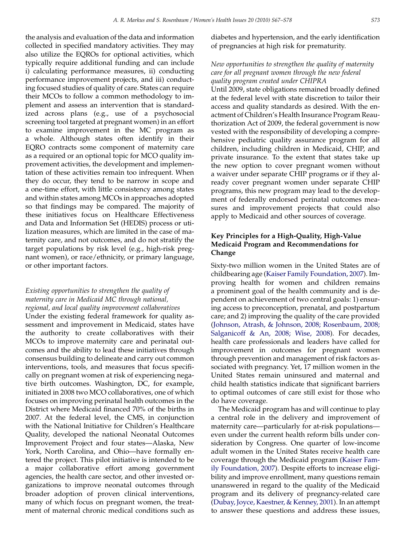the analysis and evaluation of the data and information collected in specified mandatory activities. They may also utilize the EQROs for optional activities, which typically require additional funding and can include i) calculating performance measures, ii) conducting performance improvement projects, and iii) conducting focused studies of quality of care. States can require their MCOs to follow a common methodology to implement and assess an intervention that is standardized across plans (e.g., use of a psychosocial screening tool targeted at pregnant women) in an effort to examine improvement in the MC program as a whole. Although states often identify in their EQRO contracts some component of maternity care as a required or an optional topic for MCO quality improvement activities, the development and implementation of these activities remain too infrequent. When they do occur, they tend to be narrow in scope and a one-time effort, with little consistency among states and within states among MCOs in approaches adopted so that findings may be compared. The majority of these initiatives focus on Healthcare Effectiveness and Data and Information Set (HEDIS) process or utilization measures, which are limited in the case of maternity care, and not outcomes, and do not stratify the target populations by risk level (e.g., high-risk pregnant women), or race/ethnicity, or primary language, or other important factors.

## Existing opportunities to strengthen the quality of maternity care in Medicaid MC through national, regional, and local quality improvement collaboratives

Under the existing federal framework for quality assessment and improvement in Medicaid, states have the authority to create collaboratives with their MCOs to improve maternity care and perinatal outcomes and the ability to lead these initiatives through consensus building to delineate and carry out common interventions, tools, and measures that focus specifically on pregnant women at risk of experiencing negative birth outcomes. Washington, DC, for example, initiated in 2008 two MCO collaboratives, one of which focuses on improving perinatal health outcomes in the District where Medicaid financed 70% of the births in 2007. At the federal level, the CMS, in conjunction with the National Initiative for Children's Healthcare Quality, developed the national Neonatal Outcomes Improvement Project and four states—Alaska, New York, North Carolina, and Ohio—have formally entered the project. This pilot initiative is intended to be a major collaborative effort among government agencies, the health care sector, and other invested organizations to improve neonatal outcomes through broader adoption of proven clinical interventions, many of which focus on pregnant women, the treatment of maternal chronic medical conditions such as

diabetes and hypertension, and the early identification of pregnancies at high risk for prematurity.

## New opportunities to strengthen the quality of maternity care for all pregnant women through the new federal quality program created under CHIPRA

Until 2009, state obligations remained broadly defined at the federal level with state discretion to tailor their access and quality standards as desired. With the enactment of Children's Health Insurance Program Reauthorization Act of 2009, the federal government is now vested with the responsibility of developing a comprehensive pediatric quality assurance program for all children, including children in Medicaid, CHIP, and private insurance. To the extent that states take up the new option to cover pregnant women without a waiver under separate CHIP programs or if they already cover pregnant women under separate CHIP programs, this new program may lead to the development of federally endorsed perinatal outcomes measures and improvement projects that could also apply to Medicaid and other sources of coverage.

## Key Principles for a High-Quality, High-Value Medicaid Program and Recommendations for Change

Sixty-two million women in the United States are of childbearing age ([Kaiser Family Foundation, 2007\)](#page-11-0). Improving health for women and children remains a prominent goal of the health community and is dependent on achievement of two central goals: 1) ensuring access to preconception, prenatal, and postpartum care; and 2) improving the quality of the care provided [\(Johnson, Atrash, & Johnson, 2008; Rosenbaum, 2008;](#page-11-0) [Salganicoff & An, 2008; Wise, 2008](#page-11-0)). For decades, health care professionals and leaders have called for improvement in outcomes for pregnant women through prevention and management of risk factors associated with pregnancy. Yet, 17 million women in the United States remain uninsured and maternal and child health statistics indicate that significant barriers to optimal outcomes of care still exist for those who do have coverage.

The Medicaid program has and will continue to play a central role in the delivery and improvement of maternity care—particularly for at-risk populations even under the current health reform bills under consideration by Congress. One quarter of low-income adult women in the United States receive health care coverage through the Medicaid program ([Kaiser Fam](#page-11-0)[ily Foundation, 2007](#page-11-0)). Despite efforts to increase eligibility and improve enrollment, many questions remain unanswered in regard to the quality of the Medicaid program and its delivery of pregnancy-related care [\(Dubay, Joyce, Kaestner, & Kenney, 2001](#page-11-0)). In an attempt to answer these questions and address these issues,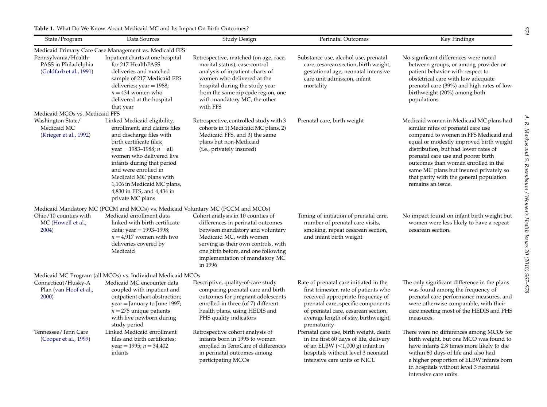<span id="page-7-0"></span>

| <b>Table 1.</b> What Do We Know About Medicaid MC and Its Impact On Birth Outcomes? |
|-------------------------------------------------------------------------------------|
|                                                                                     |

| State/Program                                                                                | Data Sources                                                                                                                                                                                                                                                                                                                                     | Study Design                                                                                                                                                                                                                                                    | Perinatal Outcomes                                                                                                                                                                                                                                       | Key Findings                                                                                                                                                                                                                                                                                                                                                                                     |
|----------------------------------------------------------------------------------------------|--------------------------------------------------------------------------------------------------------------------------------------------------------------------------------------------------------------------------------------------------------------------------------------------------------------------------------------------------|-----------------------------------------------------------------------------------------------------------------------------------------------------------------------------------------------------------------------------------------------------------------|----------------------------------------------------------------------------------------------------------------------------------------------------------------------------------------------------------------------------------------------------------|--------------------------------------------------------------------------------------------------------------------------------------------------------------------------------------------------------------------------------------------------------------------------------------------------------------------------------------------------------------------------------------------------|
| Pennsylvania/Health-<br>PASS in Philadelphia<br>(Goldfarb et al., 1991)                      | Medicaid Primary Care Case Management vs. Medicaid FFS<br>Inpatient charts at one hospital<br>for 217 HealthPASS<br>deliveries and matched<br>sample of 217 Medicaid FFS<br>deliveries; year $=$ 1988;<br>$n = 434$ women who<br>delivered at the hospital<br>that year                                                                          | Retrospective, matched (on age, race,<br>marital status), case-control<br>analysis of inpatient charts of<br>women who delivered at the<br>hospital during the study year<br>from the same zip code region, one<br>with mandatory MC, the other<br>with FFS     | Substance use, alcohol use, prenatal<br>care, cesarean section, birth weight,<br>gestational age, neonatal intensive<br>care unit admission, infant<br>mortality                                                                                         | No significant differences were noted<br>between groups, or among provider or<br>patient behavior with respect to<br>obstetrical care with low adequate<br>prenatal care (39%) and high rates of low<br>birthweight (20%) among both<br>populations                                                                                                                                              |
| Medicaid MCOs vs. Medicaid FFS<br>Washington State/<br>Medicaid MC<br>(Krieger et al., 1992) | Linked Medicaid eligibility,<br>enrollment, and claims files<br>and discharge files with<br>birth certificate files;<br>year = 1983–1988; $n =$ all<br>women who delivered live<br>infants during that period<br>and were enrolled in<br>Medicaid MC plans with<br>1,106 in Medicaid MC plans,<br>4,830 in FFS, and 4,434 in<br>private MC plans | Retrospective, controlled study with 3<br>cohorts in 1) Medicaid MC plans, 2)<br>Medicaid FFS, and 3) the same<br>plans but non-Medicaid<br>(i.e., privately insured)                                                                                           | Prenatal care, birth weight                                                                                                                                                                                                                              | Medicaid women in Medicaid MC plans had<br>similar rates of prenatal care use<br>compared to women in FFS Medicaid and<br>equal or modestly improved birth weight<br>distribution, but had lower rates of<br>prenatal care use and poorer birth<br>outcomes than women enrolled in the<br>same MC plans but insured privately so<br>that parity with the general population<br>remains an issue. |
| Ohio/10 counties with<br>MC (Howell et al.,<br>2004)                                         | Medicaid Mandatory MC (PCCM and MCOs) vs. Medicaid Voluntary MC (PCCM and MCOs)<br>Medicaid enrollment data<br>linked with birth certificate<br>data; year = $1993 - 1998$ ;<br>$n = 4.917$ women with two<br>deliveries covered by<br>Medicaid                                                                                                  | Cohort analysis in 10 counties of<br>differences in perinatal outcomes<br>between mandatory and voluntary<br>Medicaid MC, with women<br>serving as their own controls, with<br>one birth before, and one following<br>implementation of mandatory MC<br>in 1996 | Timing of initiation of prenatal care,<br>number of prenatal care visits,<br>smoking, repeat cesarean section,<br>and infant birth weight                                                                                                                | No impact found on infant birth weight but<br>women were less likely to have a repeat<br>cesarean section.                                                                                                                                                                                                                                                                                       |
| Connecticut/Husky-A<br>Plan (van Hoof et al.,<br>2000)                                       | Medicaid MC Program (all MCOs) vs. Individual Medicaid MCOs<br>Medicaid MC encounter data<br>coupled with inpatient and<br>outpatient chart abstraction;<br>year = January to June 1997;<br>$n = 275$ unique patients<br>with live newborn during<br>study period                                                                                | Descriptive, quality-of-care study<br>comparing prenatal care and birth<br>outcomes for pregnant adolescents<br>enrolled in three (of 7) different<br>health plans, using HEDIS and<br>PHS quality indicators                                                   | Rate of prenatal care initiated in the<br>first trimester, rate of patients who<br>received appropriate frequency of<br>prenatal care, specific components<br>of prenatal care, cesarean section,<br>average length of stay, birthweight,<br>prematurity | The only significant difference in the plans<br>was found among the frequency of<br>prenatal care performance measures, and<br>were otherwise comparable, with their<br>care meeting most of the HEDIS and PHS<br>measures.                                                                                                                                                                      |
| Tennessee/Tenn Care<br>(Cooper et al., 1999)                                                 | Linked Medicaid enrollment<br>files and birth certificates;<br>year = 1995; $n = 34,402$<br>infants                                                                                                                                                                                                                                              | Retrospective cohort analysis of<br>infants born in 1995 to women<br>enrolled in TennCare of differences<br>in perinatal outcomes among<br>participating MCOs                                                                                                   | Prenatal care use, birth weight, death<br>in the first 60 days of life, delivery<br>of an ELBW $(<1,000 \text{ g})$ infant in<br>hospitals without level 3 neonatal<br>intensive care units or NICU                                                      | There were no differences among MCOs for<br>birth weight, but one MCO was found to<br>have infants 2.8 times more likely to die<br>within 60 days of life and also had<br>a higher proportion of ELBW infants born<br>in hospitals without level 3 neonatal<br>intensive care units.                                                                                                             |

 $S74$  A. R. Markus and S. Rosenbaum / Women's Health Issues 20 (2010)  $S67–S78$ A. R. Markus and S. Rosenbaum / Women's Health Issues 20 (2010)  $567-578$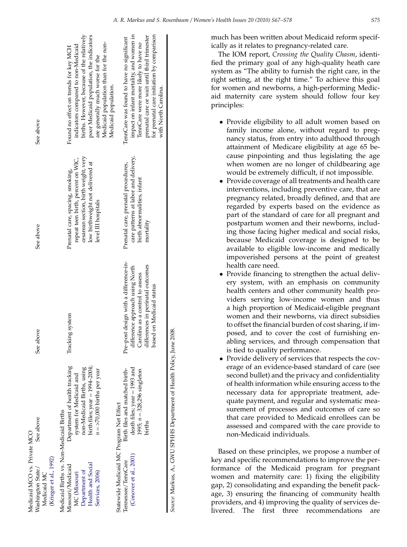| Medicaid MCO vs. Private MCO                               |                                                                      |                                                                    |                                                                        |                                                                                  |
|------------------------------------------------------------|----------------------------------------------------------------------|--------------------------------------------------------------------|------------------------------------------------------------------------|----------------------------------------------------------------------------------|
| (Krieger et al., 1992)<br>Washington State/<br>Medicaid MC | See above                                                            | See above                                                          | See above                                                              | See above                                                                        |
| Medicaid Births vs. Non-Medicaid Births                    |                                                                      |                                                                    |                                                                        |                                                                                  |
| Missouri/Medicaid<br>MC (Missouri                          | Department of health tracking<br>system for Medicaid and             | Tracking system                                                    | repeat teen birth, percent on WIC,<br>Prenatal care, spacing, smoking, | indicators compared to non-Medicaid<br>Found no effect on trends for key MCH     |
| Department of                                              | non-Medicaid Births, using                                           |                                                                    | cesarean section, birth weight, very                                   | births. However, because of the relatively                                       |
| Health and Social<br>Services, 2006)                       | birth files; $year = 1994 - 2004$ ;<br>$n =$ >70,000 births per year |                                                                    | low birthweight not delivered at<br>level III hospitals                | poor Medicaid population, the indicators<br>are generally much worse for the     |
|                                                            |                                                                      |                                                                    |                                                                        | Medicaid population than for the non-<br>Medicaid population.                    |
| Statewide Medicaid MC Program Net Effect                   |                                                                      |                                                                    |                                                                        |                                                                                  |
| Tennessee/TennCare                                         | Birth files and matched birth-                                       | Pre-post design with a difference-in-                              | Prenatal care, prenatal procedures,                                    | TennCare was found to have no significant                                        |
| (Conover et al., 2001)                                     | death files; year = 1993 and<br>1995; $n = 328,296$ singleton        | difference approach using North<br>Carolina as a control to assess | care patterns at labor and delivery,<br>birth abnormalities, infant    | impact on infant mortality, and women in<br>TennCare were more likely to have no |
|                                                            | births                                                               | differences in perinatal outcomes                                  | mortality                                                              | prenatal care or wait until third trimester                                      |
|                                                            |                                                                      | based on Medicaid status                                           |                                                                        | for prenatal care initiation by comparison<br>with North Carolina.               |
|                                                            |                                                                      |                                                                    |                                                                        |                                                                                  |

Source: Markus, A., GWU SPHHS Department of Health Policy, June 2008. Source: Markus, A., GWU SPHHS Department of Health Policy, June 2008. much has been written about Medicaid reform specifically as it relates to pregnancy-related care.

The IOM report, Crossing the Quality Chasm, identified the primary goal of any high-quality heath care system as ''The ability to furnish the right care, in the right setting, at the right time.'' To achieve this goal for women and newborns, a high-performing Medicaid maternity care system should follow four key principles:

- Provide eligibility to all adult women based on family income alone, without regard to pregnancy status, from entry into adulthood through attainment of Medicare eligibility at age 65 because pinpointing and thus legislating the age when women are no longer of childbearing age would be extremely difficult, if not impossible.
- Provide coverage of all treatments and health care interventions, including preventive care, that are pregnancy related, broadly defined, and that are regarded by experts based on the evidence as part of the standard of care for all pregnant and postpartum women and their newborns, including those facing higher medical and social risks, because Medicaid coverage is designed to be available to eligible low-income and medically impoverished persons at the point of greatest health care need.
- Provide financing to strengthen the actual delivery system, with an emphasis on community health centers and other community health providers serving low-income women and thus a high proportion of Medicaid-eligible pregnant women and their newborns, via direct subsidies to offset the financial burden of cost sharing, if imposed, and to cover the cost of furnishing enabling services, and through compensation that is tied to quality performance.
- Provide delivery of services that respects the coverage of an evidence-based standard of care (see second bullet) and the privacy and confidentiality of health information while ensuring access to the necessary data for appropriate treatment, adequate payment, and regular and systematic measurement of processes and outcomes of care so that care provided to Medicaid enrollees can be assessed and compared with the care provide to non-Medicaid individuals.

Based on these principles, we propose a number of key and specific recommendations to improve the performance of the Medicaid program for pregnant women and maternity care: 1) fixing the eligibility gap, 2) consolidating and expanding the benefit package, 3) ensuring the financing of community health providers, and 4) improving the quality of services delivered. The first three recommendations are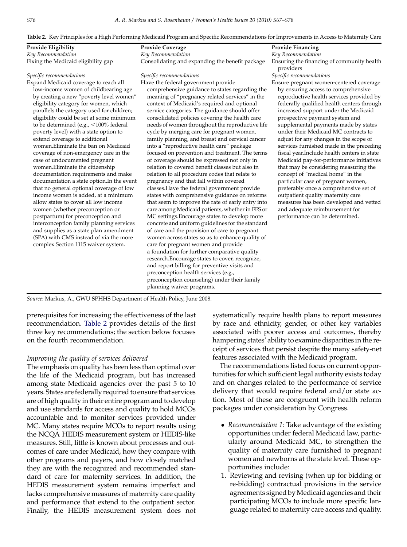Table 2. Key Principles for a High Performing Medicaid Program and Specific Recommendations for Improvements in Access to Maternity Care

| Provide Eligibility                                                                                                                                                                                                                                                                                                                                                                                                                                                                                                                                                                                                                                                                                                                                                                                                                                                                                                                                                                                 | <b>Provide Coverage</b>                                                                                                                                                                                                                                                                                                                                                                                                                                                                                                                                                                                                                                                                                                                                                                                                                                                                                                                                                                                                                                                                                                                                                                                                                                                                                                                                                                                                                                                    | <b>Provide Financing</b>                                                                                                                                                                                                                                                                                                                                                                                                                                                                                                                                                                                                                                                                                                                                                                                                             |
|-----------------------------------------------------------------------------------------------------------------------------------------------------------------------------------------------------------------------------------------------------------------------------------------------------------------------------------------------------------------------------------------------------------------------------------------------------------------------------------------------------------------------------------------------------------------------------------------------------------------------------------------------------------------------------------------------------------------------------------------------------------------------------------------------------------------------------------------------------------------------------------------------------------------------------------------------------------------------------------------------------|----------------------------------------------------------------------------------------------------------------------------------------------------------------------------------------------------------------------------------------------------------------------------------------------------------------------------------------------------------------------------------------------------------------------------------------------------------------------------------------------------------------------------------------------------------------------------------------------------------------------------------------------------------------------------------------------------------------------------------------------------------------------------------------------------------------------------------------------------------------------------------------------------------------------------------------------------------------------------------------------------------------------------------------------------------------------------------------------------------------------------------------------------------------------------------------------------------------------------------------------------------------------------------------------------------------------------------------------------------------------------------------------------------------------------------------------------------------------------|--------------------------------------------------------------------------------------------------------------------------------------------------------------------------------------------------------------------------------------------------------------------------------------------------------------------------------------------------------------------------------------------------------------------------------------------------------------------------------------------------------------------------------------------------------------------------------------------------------------------------------------------------------------------------------------------------------------------------------------------------------------------------------------------------------------------------------------|
| Key Recommendation                                                                                                                                                                                                                                                                                                                                                                                                                                                                                                                                                                                                                                                                                                                                                                                                                                                                                                                                                                                  | Key Recommendation                                                                                                                                                                                                                                                                                                                                                                                                                                                                                                                                                                                                                                                                                                                                                                                                                                                                                                                                                                                                                                                                                                                                                                                                                                                                                                                                                                                                                                                         | Key Recommendation                                                                                                                                                                                                                                                                                                                                                                                                                                                                                                                                                                                                                                                                                                                                                                                                                   |
| Fixing the Medicaid eligibility gap                                                                                                                                                                                                                                                                                                                                                                                                                                                                                                                                                                                                                                                                                                                                                                                                                                                                                                                                                                 | Consolidating and expanding the benefit package                                                                                                                                                                                                                                                                                                                                                                                                                                                                                                                                                                                                                                                                                                                                                                                                                                                                                                                                                                                                                                                                                                                                                                                                                                                                                                                                                                                                                            | Ensuring the financing of community health<br>providers                                                                                                                                                                                                                                                                                                                                                                                                                                                                                                                                                                                                                                                                                                                                                                              |
| Specific recommendations                                                                                                                                                                                                                                                                                                                                                                                                                                                                                                                                                                                                                                                                                                                                                                                                                                                                                                                                                                            | Specific recommendations                                                                                                                                                                                                                                                                                                                                                                                                                                                                                                                                                                                                                                                                                                                                                                                                                                                                                                                                                                                                                                                                                                                                                                                                                                                                                                                                                                                                                                                   | Specific recommendations                                                                                                                                                                                                                                                                                                                                                                                                                                                                                                                                                                                                                                                                                                                                                                                                             |
| Expand Medicaid coverage to reach all<br>low-income women of childbearing age<br>by creating a new "poverty level women"<br>eligibility category for women, which<br>parallels the category used for children;<br>eligibility could be set at some minimum<br>to be determined (e.g., $<$ 100% federal<br>poverty level) with a state option to<br>extend coverage to additional<br>women.Eliminate the ban on Medicaid<br>coverage of non-emergency care in the<br>case of undocumented pregnant<br>women.Eliminate the citizenship<br>documentation requirements and make<br>documentation a state option. In the event<br>that no general optional coverage of low<br>income women is added, at a minimum<br>allow states to cover all low income<br>women (whether preconception or<br>postpartum) for preconception and<br>interconception family planning services<br>and supplies as a state plan amendment<br>(SPA) with CMS instead of via the more<br>complex Section 1115 waiver system. | Have the federal government provide<br>comprehensive guidance to states regarding the<br>meaning of "pregnancy related services" in the<br>context of Medicaid's required and optional<br>service categories. The guidance should offer<br>consolidated policies covering the health care<br>needs of women throughout the reproductive life<br>cycle by merging care for pregnant women,<br>family planning, and breast and cervical cancer<br>into a "reproductive health care" package<br>focused on prevention and treatment. The terms<br>of coverage should be expressed not only in<br>relation to covered benefit classes but also in<br>relation to all procedure codes that relate to<br>pregnancy and that fall within covered<br>classes. Have the federal government provide<br>states with comprehensive guidance on reforms<br>that seem to improve the rate of early entry into<br>care among Medicaid patients, whether in FFS or<br>MC settings. Encourage states to develop more<br>concrete and uniform guidelines for the standard<br>of care and the provision of care to pregnant<br>women across states so as to enhance quality of<br>care for pregnant women and provide<br>a foundation for further comparative quality<br>research. Encourage states to cover, recognize,<br>and report billing for preventive visits and<br>preconception health services (e.g.,<br>preconception counseling) under their family<br>planning waiver programs. | Ensure pregnant women-centered coverage<br>by ensuring access to comprehensive<br>reproductive health services provided by<br>federally qualified health centers through<br>increased support under the Medicaid<br>prospective payment system and<br>supplemental payments made by states<br>under their Medicaid MC contracts to<br>adjust for any changes in the scope of<br>services furnished made in the preceding<br>fiscal year. Include health centers in state<br>Medicaid pay-for-performance initiatives<br>that may be considering measuring the<br>concept of "medical home" in the<br>particular case of pregnant women,<br>preferably once a comprehensive set of<br>outpatient quality maternity care<br>measures has been developed and vetted<br>and adequate reimbursement for<br>performance can be determined. |

Source: Markus, A., GWU SPHHS Department of Health Policy, June 2008.

prerequisites for increasing the effectiveness of the last recommendation. Table 2 provides details of the first three key recommendations; the section below focuses on the fourth recommendation.

## Improving the quality of services delivered

The emphasis on quality has been less than optimal over the life of the Medicaid program, but has increased among state Medicaid agencies over the past 5 to 10 years. States are federally required to ensure that services are of high quality in their entire program and to develop and use standards for access and quality to hold MCOs accountable and to monitor services provided under MC. Many states require MCOs to report results using the NCQA HEDIS measurement system or HEDIS-like measures. Still, little is known about processes and outcomes of care under Medicaid, how they compare with other programs and payers, and how closely matched they are with the recognized and recommended standard of care for maternity services. In addition, the HEDIS measurement system remains imperfect and lacks comprehensive measures of maternity care quality and performance that extend to the outpatient sector. Finally, the HEDIS measurement system does not

systematically require health plans to report measures by race and ethnicity, gender, or other key variables associated with poorer access and outcomes, thereby hampering states' ability to examine disparities in the receipt of services that persist despite the many safety-net features associated with the Medicaid program.

The recommendations listed focus on current opportunities for which sufficient legal authority exists today and on changes related to the performance of service delivery that would require federal and/or state action. Most of these are congruent with health reform packages under consideration by Congress.

- Recommendation 1: Take advantage of the existing opportunities under federal Medicaid law, particularly around Medicaid MC, to strengthen the quality of maternity care furnished to pregnant women and newborns at the state level. These opportunities include:
- 1. Reviewing and revising (when up for bidding or re-bidding) contractual provisions in the service agreements signed by Medicaid agencies and their participating MCOs to include more specific language related to maternity care access and quality.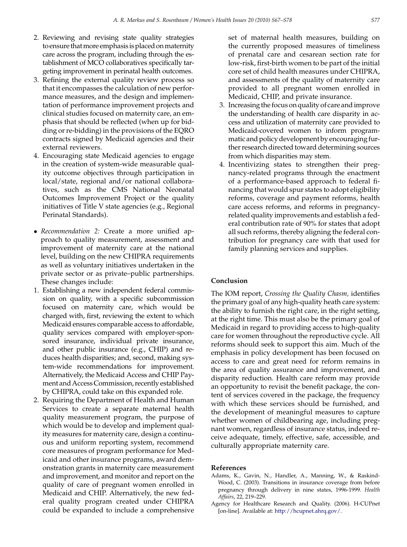- <span id="page-10-0"></span>2. Reviewing and revising state quality strategies to ensure that more emphasis is placed on maternity care across the program, including through the establishment of MCO collaboratives specifically targeting improvement in perinatal health outcomes.
- 3. Refining the external quality review process so that it encompasses the calculation of new performance measures, and the design and implementation of performance improvement projects and clinical studies focused on maternity care, an emphasis that should be reflected (when up for bidding or re-bidding) in the provisions of the EQRO contracts signed by Medicaid agencies and their external reviewers.
- 4. Encouraging state Medicaid agencies to engage in the creation of system-wide measurable quality outcome objectives through participation in local/state, regional and/or national collaboratives, such as the CMS National Neonatal Outcomes Improvement Project or the quality initiatives of Title V state agencies (e.g., Regional Perinatal Standards).
- Recommendation 2: Create a more unified approach to quality measurement, assessment and improvement of maternity care at the national level, building on the new CHIPRA requirements as well as voluntary initiatives undertaken in the private sector or as private–public partnerships. These changes include:
- 1. Establishing a new independent federal commission on quality, with a specific subcommission focused on maternity care, which would be charged with, first, reviewing the extent to which Medicaid ensures comparable access to affordable, quality services compared with employer-sponsored insurance, individual private insurance, and other public insurance (e.g., CHIP) and reduces health disparities; and, second, making system-wide recommendations for improvement. Alternatively, the Medicaid Access and CHIP Payment and Access Commission, recently established by CHIPRA, could take on this expanded role.
- 2. Requiring the Department of Health and Human Services to create a separate maternal health quality measurement program, the purpose of which would be to develop and implement quality measures for maternity care, design a continuous and uniform reporting system, recommend core measures of program performance for Medicaid and other insurance programs, award demonstration grants in maternity care measurement and improvement, and monitor and report on the quality of care of pregnant women enrolled in Medicaid and CHIP. Alternatively, the new federal quality program created under CHIPRA could be expanded to include a comprehensive

set of maternal health measures, building on the currently proposed measures of timeliness of prenatal care and cesarean section rate for low-risk, first-birth women to be part of the initial core set of child health measures under CHIPRA, and assessments of the quality of maternity care provided to all pregnant women enrolled in Medicaid, CHIP, and private insurance.

- 3. Increasing the focus on quality of care and improve the understanding of health care disparity in access and utilization of maternity care provided to Medicaid-covered women to inform programmatic and policy development by encouraging further research directed toward determining sources from which disparities may stem.
- 4. Incentivizing states to strengthen their pregnancy-related programs through the enactment of a performance-based approach to federal financing that would spur states to adopt eligibility reforms, coverage and payment reforms, health care access reforms, and reforms in pregnancyrelated quality improvements and establish a federal contribution rate of 90% for states that adopt all such reforms, thereby aligning the federal contribution for pregnancy care with that used for family planning services and supplies.

## Conclusion

The IOM report, Crossing the Quality Chasm, identifies the primary goal of any high-quality heath care system: the ability to furnish the right care, in the right setting, at the right time. This must also be the primary goal of Medicaid in regard to providing access to high-quality care for women throughout the reproductive cycle. All reforms should seek to support this aim. Much of the emphasis in policy development has been focused on access to care and great need for reform remains in the area of quality assurance and improvement, and disparity reduction. Health care reform may provide an opportunity to revisit the benefit package, the content of services covered in the package, the frequency with which these services should be furnished, and the development of meaningful measures to capture whether women of childbearing age, including pregnant women, regardless of insurance status, indeed receive adequate, timely, effective, safe, accessible, and culturally appropriate maternity care.

#### References

- Adams, K., Gavin, N., Handler, A., Manning, W., & Raskind-Wood, C. (2003). Transitions in insurance coverage from before pregnancy through delivery in nine states, 1996-1999. Health Affairs, 22, 219–229.
- Agency for Healthcare Research and Quality. (2006). H-CUPnet [on-line]. Available at: <http://hcupnet.ahrq.gov/>.